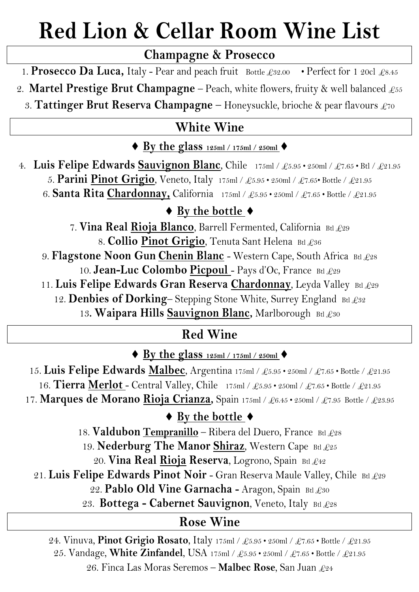## **Red Lion & Cellar Room Wine List**

#### **Champagne & Prosecco**

1. Prosecco Da Luca, Italy - Pear and peach fruit Bottle £32.00 • Perfect for 1 20cl £8.45

- 2. **Martel Prestige Brut Champagne** Peach, white flowers, fruity & well balanced  $\mathcal{L}_{55}$ 
	- 3. **Tattinger Brut Reserva Champagne** Honeysuckle, brioche & pear flavours £70

#### **White Wine**

#### $\blacklozenge$  By the glass  $\frac{125 \text{ml} / 175 \text{ml} / 250 \text{ml}}{ }$

4. **Luis Felipe Edwards Sauvignon Blanc**, Chile 175ml / £5.95 • 250ml / £7.65 • Btl / £21.95 5. **Parini Pinot Grigio**, Veneto, Italy 175ml / £5.95 • 250ml / £7.65• Bottle / £21.95 6. **Santa Rita Chardonnay,** California 175ml / £5.95 • 250ml / £7.65 • Bottle / £21.95

#### ◆ By the bottle ◆

7. **Vina Real Rioja Blanco**, Barrell Fermented, California Btl £29 8. **Collio Pinot Grigio**, Tenuta Sant Helena Btl £36 9. **Flagstone Noon Gun Chenin Blanc** - Western Cape, South Africa Btl £28 10. **Jean-Luc Colombo Picpoul** - Pays d'Oc, France Btl £29 11. Luis Felipe Edwards Gran Reserva Chardonnay, Leyda Valley Btl £29 12. Denbies of Dorking-Stepping Stone White, Surrey England Btl £32

13. Waipara Hills **Sauvignon Blanc**, Marlborough Btl £30

#### **Red Wine**

◆ <u>By the glass 125ml / 175ml / 250ml</u> ◆

15. **Luis Felipe Edwards Malbec**, Argentina 175ml / £5.95 • 250ml / £7.65 • Bottle / £21.95 16. **Tierra Merlot** - Central Valley, Chile 175ml / £5.95 • 250ml / £7.65 • Bottle / £21.95 17. **Marques de Morano Rioja Crianza,** Spain 175ml / £6.45 • 250ml / £7.95 Bottle / £23.95

#### ◆ <u>By the bottle</u> ◆

18. **Valdubon Tempranillo** – Ribera del Duero, France Btl £28 19. Nederburg The Manor Shiraz, Western Cape Btl £25

20. **Vina Real Rioja Reserva**, Logrono, Spain Btl £42

21. Luis Felipe Edwards Pinot Noir - Gran Reserva Maule Valley, Chile Btl £29

22. **Pablo Old Vine Garnacha -** Aragon, Spain Btl £30

23. **Bottega - Cabernet Sauvignon**, Veneto, Italy Btl £28

#### **Rose Wine**

24. Vinuva, **Pinot Grigio Rosato**, Italy 175ml / £5.95 • 250ml / £7.65 • Bottle / £21.95 25. Vandage, **White Zinfandel**, USA 175ml / £5.95 • 250ml / £7.65 • Bottle / £21.95

26. Finca Las Moras Seremos – **Malbec Rose**, San Juan £24